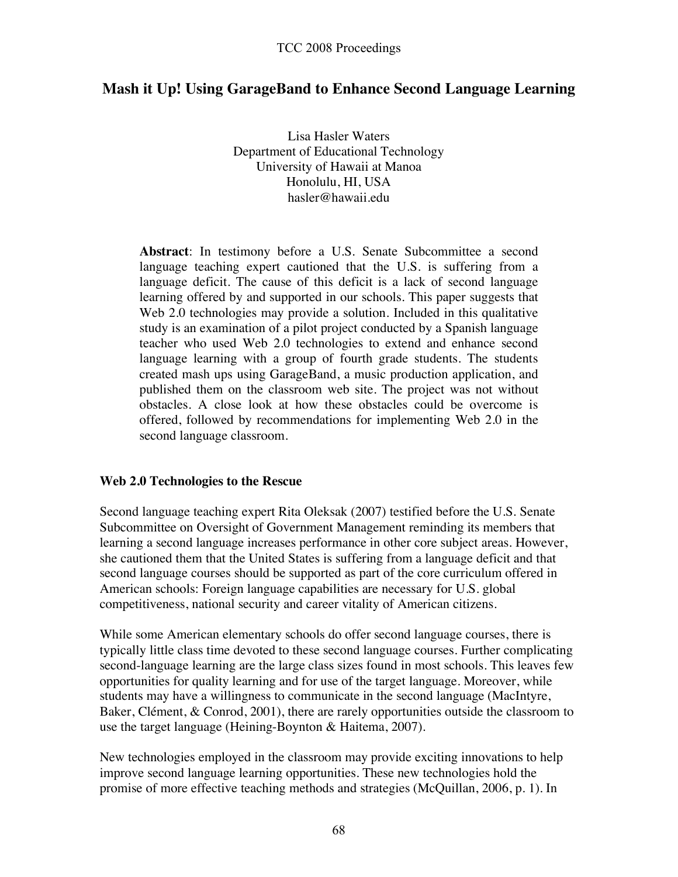# **Mash it Up! Using GarageBand to Enhance Second Language Learning**

Lisa Hasler Waters Department of Educational Technology University of Hawaii at Manoa Honolulu, HI, USA hasler@hawaii.edu

**Abstract**: In testimony before a U.S. Senate Subcommittee a second language teaching expert cautioned that the U.S. is suffering from a language deficit. The cause of this deficit is a lack of second language learning offered by and supported in our schools. This paper suggests that Web 2.0 technologies may provide a solution. Included in this qualitative study is an examination of a pilot project conducted by a Spanish language teacher who used Web 2.0 technologies to extend and enhance second language learning with a group of fourth grade students. The students created mash ups using GarageBand, a music production application, and published them on the classroom web site. The project was not without obstacles. A close look at how these obstacles could be overcome is offered, followed by recommendations for implementing Web 2.0 in the second language classroom.

#### **Web 2.0 Technologies to the Rescue**

Second language teaching expert Rita Oleksak (2007) testified before the U.S. Senate Subcommittee on Oversight of Government Management reminding its members that learning a second language increases performance in other core subject areas. However, she cautioned them that the United States is suffering from a language deficit and that second language courses should be supported as part of the core curriculum offered in American schools: Foreign language capabilities are necessary for U.S. global competitiveness, national security and career vitality of American citizens.

While some American elementary schools do offer second language courses, there is typically little class time devoted to these second language courses. Further complicating second-language learning are the large class sizes found in most schools. This leaves few opportunities for quality learning and for use of the target language. Moreover, while students may have a willingness to communicate in the second language (MacIntyre, Baker, Clément, & Conrod, 2001), there are rarely opportunities outside the classroom to use the target language (Heining-Boynton & Haitema, 2007).

New technologies employed in the classroom may provide exciting innovations to help improve second language learning opportunities. These new technologies hold the promise of more effective teaching methods and strategies (McQuillan, 2006, p. 1). In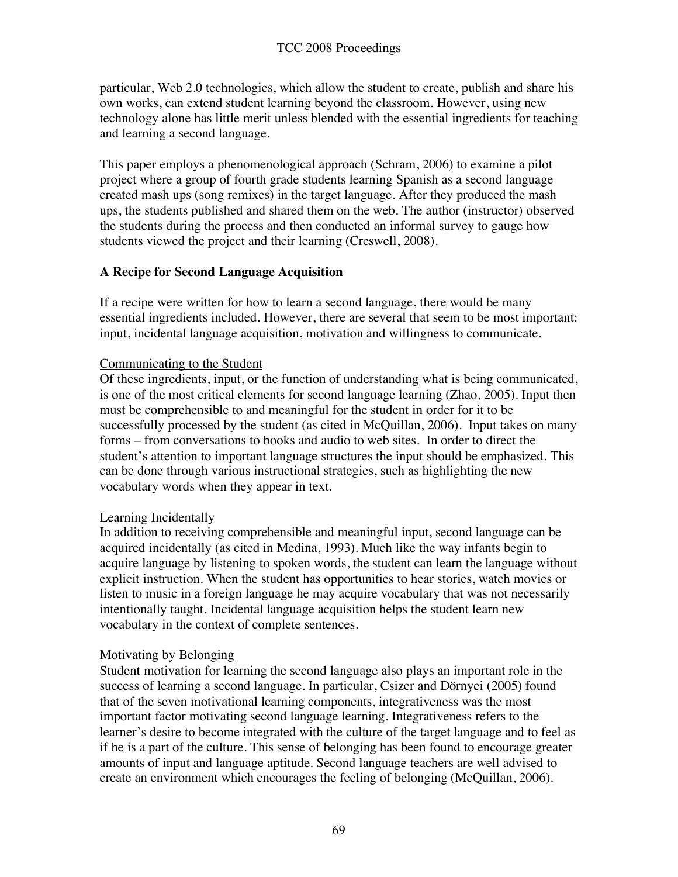particular, Web 2.0 technologies, which allow the student to create, publish and share his own works, can extend student learning beyond the classroom. However, using new technology alone has little merit unless blended with the essential ingredients for teaching and learning a second language.

This paper employs a phenomenological approach (Schram, 2006) to examine a pilot project where a group of fourth grade students learning Spanish as a second language created mash ups (song remixes) in the target language. After they produced the mash ups, the students published and shared them on the web. The author (instructor) observed the students during the process and then conducted an informal survey to gauge how students viewed the project and their learning (Creswell, 2008).

## **A Recipe for Second Language Acquisition**

If a recipe were written for how to learn a second language, there would be many essential ingredients included. However, there are several that seem to be most important: input, incidental language acquisition, motivation and willingness to communicate.

## Communicating to the Student

Of these ingredients, input, or the function of understanding what is being communicated, is one of the most critical elements for second language learning (Zhao, 2005). Input then must be comprehensible to and meaningful for the student in order for it to be successfully processed by the student (as cited in McQuillan, 2006). Input takes on many forms – from conversations to books and audio to web sites. In order to direct the student's attention to important language structures the input should be emphasized. This can be done through various instructional strategies, such as highlighting the new vocabulary words when they appear in text.

## Learning Incidentally

In addition to receiving comprehensible and meaningful input, second language can be acquired incidentally (as cited in Medina, 1993). Much like the way infants begin to acquire language by listening to spoken words, the student can learn the language without explicit instruction. When the student has opportunities to hear stories, watch movies or listen to music in a foreign language he may acquire vocabulary that was not necessarily intentionally taught. Incidental language acquisition helps the student learn new vocabulary in the context of complete sentences.

## Motivating by Belonging

Student motivation for learning the second language also plays an important role in the success of learning a second language. In particular, Csizer and Dörnyei (2005) found that of the seven motivational learning components, integrativeness was the most important factor motivating second language learning. Integrativeness refers to the learner's desire to become integrated with the culture of the target language and to feel as if he is a part of the culture. This sense of belonging has been found to encourage greater amounts of input and language aptitude. Second language teachers are well advised to create an environment which encourages the feeling of belonging (McQuillan, 2006).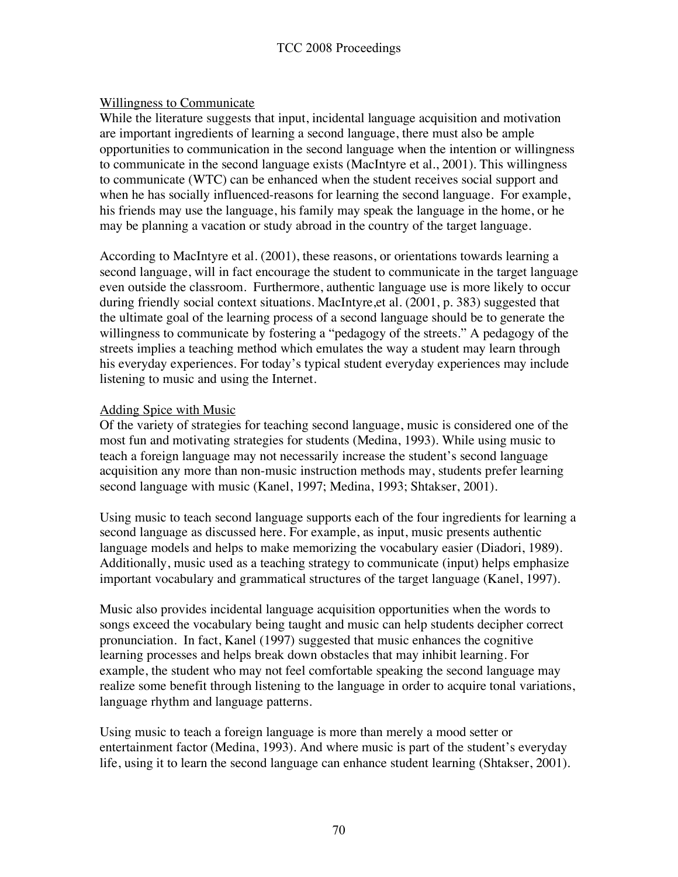#### Willingness to Communicate

While the literature suggests that input, incidental language acquisition and motivation are important ingredients of learning a second language, there must also be ample opportunities to communication in the second language when the intention or willingness to communicate in the second language exists (MacIntyre et al., 2001). This willingness to communicate (WTC) can be enhanced when the student receives social support and when he has socially influenced-reasons for learning the second language. For example, his friends may use the language, his family may speak the language in the home, or he may be planning a vacation or study abroad in the country of the target language.

According to MacIntyre et al. (2001), these reasons, or orientations towards learning a second language, will in fact encourage the student to communicate in the target language even outside the classroom. Furthermore, authentic language use is more likely to occur during friendly social context situations. MacIntyre,et al. (2001, p. 383) suggested that the ultimate goal of the learning process of a second language should be to generate the willingness to communicate by fostering a "pedagogy of the streets." A pedagogy of the streets implies a teaching method which emulates the way a student may learn through his everyday experiences. For today's typical student everyday experiences may include listening to music and using the Internet.

#### Adding Spice with Music

Of the variety of strategies for teaching second language, music is considered one of the most fun and motivating strategies for students (Medina, 1993). While using music to teach a foreign language may not necessarily increase the student's second language acquisition any more than non-music instruction methods may, students prefer learning second language with music (Kanel, 1997; Medina, 1993; Shtakser, 2001).

Using music to teach second language supports each of the four ingredients for learning a second language as discussed here. For example, as input, music presents authentic language models and helps to make memorizing the vocabulary easier (Diadori, 1989). Additionally, music used as a teaching strategy to communicate (input) helps emphasize important vocabulary and grammatical structures of the target language (Kanel, 1997).

Music also provides incidental language acquisition opportunities when the words to songs exceed the vocabulary being taught and music can help students decipher correct pronunciation. In fact, Kanel (1997) suggested that music enhances the cognitive learning processes and helps break down obstacles that may inhibit learning. For example, the student who may not feel comfortable speaking the second language may realize some benefit through listening to the language in order to acquire tonal variations, language rhythm and language patterns.

Using music to teach a foreign language is more than merely a mood setter or entertainment factor (Medina, 1993). And where music is part of the student's everyday life, using it to learn the second language can enhance student learning (Shtakser, 2001).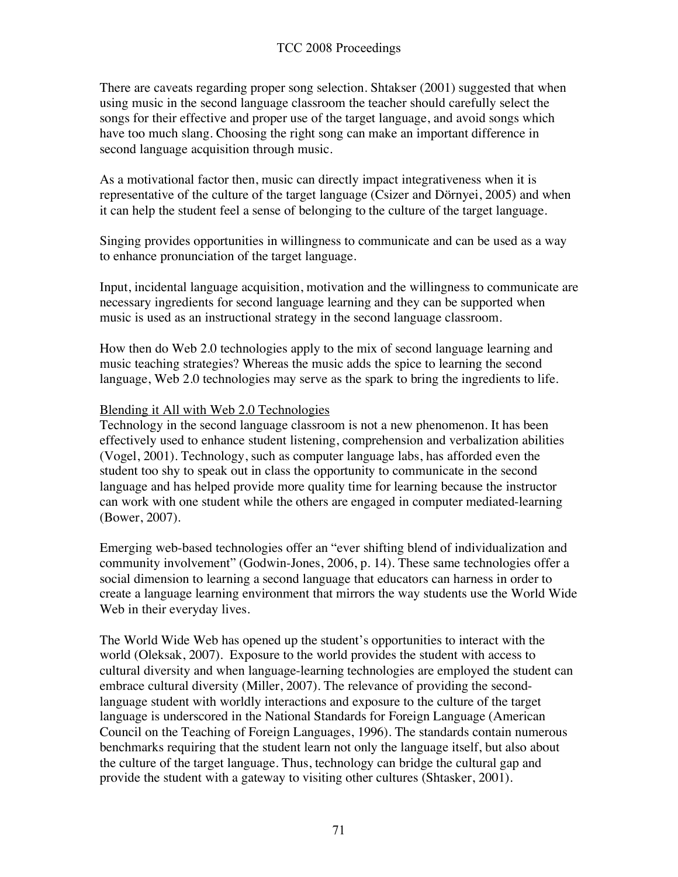There are caveats regarding proper song selection. Shtakser (2001) suggested that when using music in the second language classroom the teacher should carefully select the songs for their effective and proper use of the target language, and avoid songs which have too much slang. Choosing the right song can make an important difference in second language acquisition through music.

As a motivational factor then, music can directly impact integrativeness when it is representative of the culture of the target language (Csizer and Dörnyei, 2005) and when it can help the student feel a sense of belonging to the culture of the target language.

Singing provides opportunities in willingness to communicate and can be used as a way to enhance pronunciation of the target language.

Input, incidental language acquisition, motivation and the willingness to communicate are necessary ingredients for second language learning and they can be supported when music is used as an instructional strategy in the second language classroom.

How then do Web 2.0 technologies apply to the mix of second language learning and music teaching strategies? Whereas the music adds the spice to learning the second language, Web 2.0 technologies may serve as the spark to bring the ingredients to life.

#### Blending it All with Web 2.0 Technologies

Technology in the second language classroom is not a new phenomenon. It has been effectively used to enhance student listening, comprehension and verbalization abilities (Vogel, 2001). Technology, such as computer language labs, has afforded even the student too shy to speak out in class the opportunity to communicate in the second language and has helped provide more quality time for learning because the instructor can work with one student while the others are engaged in computer mediated-learning (Bower, 2007).

Emerging web-based technologies offer an "ever shifting blend of individualization and community involvement" (Godwin-Jones, 2006, p. 14). These same technologies offer a social dimension to learning a second language that educators can harness in order to create a language learning environment that mirrors the way students use the World Wide Web in their everyday lives.

The World Wide Web has opened up the student's opportunities to interact with the world (Oleksak, 2007). Exposure to the world provides the student with access to cultural diversity and when language-learning technologies are employed the student can embrace cultural diversity (Miller, 2007). The relevance of providing the secondlanguage student with worldly interactions and exposure to the culture of the target language is underscored in the National Standards for Foreign Language (American Council on the Teaching of Foreign Languages, 1996). The standards contain numerous benchmarks requiring that the student learn not only the language itself, but also about the culture of the target language. Thus, technology can bridge the cultural gap and provide the student with a gateway to visiting other cultures (Shtasker, 2001).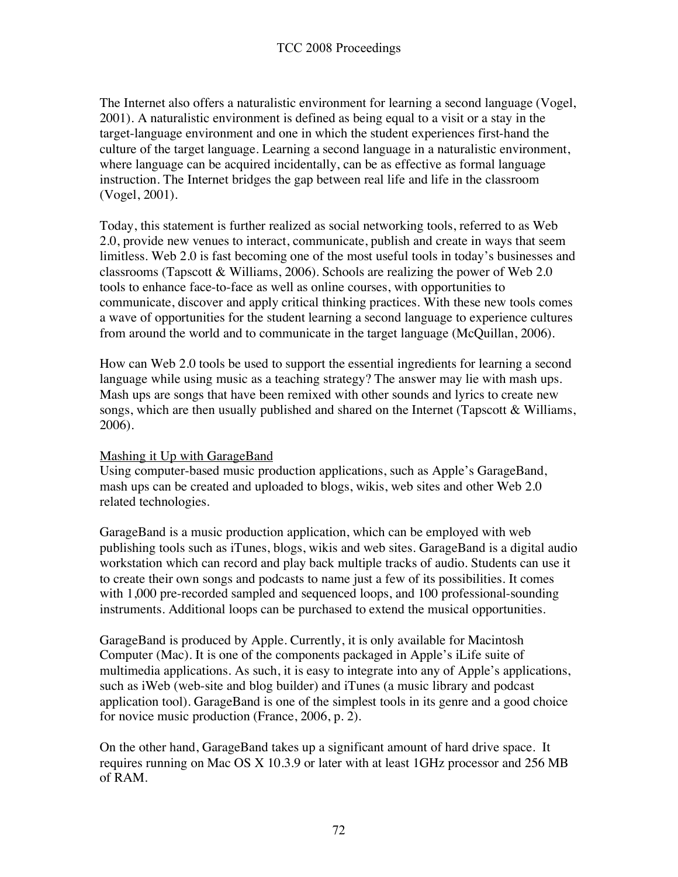The Internet also offers a naturalistic environment for learning a second language (Vogel, 2001). A naturalistic environment is defined as being equal to a visit or a stay in the target-language environment and one in which the student experiences first-hand the culture of the target language. Learning a second language in a naturalistic environment, where language can be acquired incidentally, can be as effective as formal language instruction. The Internet bridges the gap between real life and life in the classroom (Vogel, 2001).

Today, this statement is further realized as social networking tools, referred to as Web 2.0, provide new venues to interact, communicate, publish and create in ways that seem limitless. Web 2.0 is fast becoming one of the most useful tools in today's businesses and classrooms (Tapscott & Williams, 2006). Schools are realizing the power of Web 2.0 tools to enhance face-to-face as well as online courses, with opportunities to communicate, discover and apply critical thinking practices. With these new tools comes a wave of opportunities for the student learning a second language to experience cultures from around the world and to communicate in the target language (McQuillan, 2006).

How can Web 2.0 tools be used to support the essential ingredients for learning a second language while using music as a teaching strategy? The answer may lie with mash ups. Mash ups are songs that have been remixed with other sounds and lyrics to create new songs, which are then usually published and shared on the Internet (Tapscott & Williams, 2006).

# Mashing it Up with GarageBand

Using computer-based music production applications, such as Apple's GarageBand, mash ups can be created and uploaded to blogs, wikis, web sites and other Web 2.0 related technologies.

GarageBand is a music production application, which can be employed with web publishing tools such as iTunes, blogs, wikis and web sites. GarageBand is a digital audio workstation which can record and play back multiple tracks of audio. Students can use it to create their own songs and podcasts to name just a few of its possibilities. It comes with 1,000 pre-recorded sampled and sequenced loops, and 100 professional-sounding instruments. Additional loops can be purchased to extend the musical opportunities.

GarageBand is produced by Apple. Currently, it is only available for Macintosh Computer (Mac). It is one of the components packaged in Apple's iLife suite of multimedia applications. As such, it is easy to integrate into any of Apple's applications, such as iWeb (web-site and blog builder) and iTunes (a music library and podcast application tool). GarageBand is one of the simplest tools in its genre and a good choice for novice music production (France, 2006, p. 2).

On the other hand, GarageBand takes up a significant amount of hard drive space. It requires running on Mac OS X 10.3.9 or later with at least 1GHz processor and 256 MB of RAM.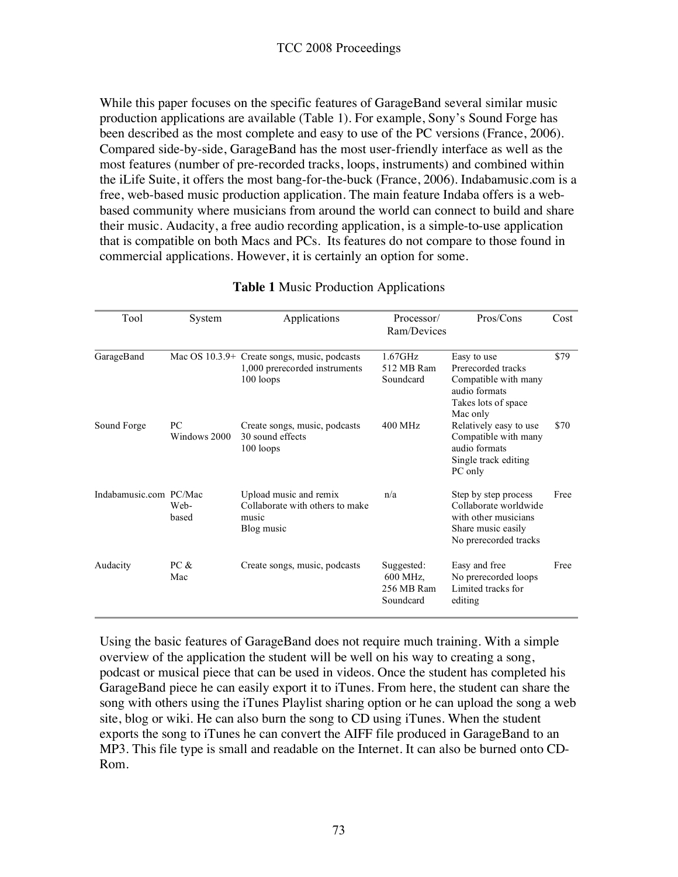While this paper focuses on the specific features of GarageBand several similar music production applications are available (Table 1). For example, Sony's Sound Forge has been described as the most complete and easy to use of the PC versions (France, 2006). Compared side-by-side, GarageBand has the most user-friendly interface as well as the most features (number of pre-recorded tracks, loops, instruments) and combined within the iLife Suite, it offers the most bang-for-the-buck (France, 2006). Indabamusic.com is a free, web-based music production application. The main feature Indaba offers is a webbased community where musicians from around the world can connect to build and share their music. Audacity, a free audio recording application, is a simple-to-use application that is compatible on both Macs and PCs. Its features do not compare to those found in commercial applications. However, it is certainly an option for some.

| Tool                   | System             | Applications                                                                               | Processor/<br>Ram/Devices                         | Pros/Cons                                                                                                            | Cost |
|------------------------|--------------------|--------------------------------------------------------------------------------------------|---------------------------------------------------|----------------------------------------------------------------------------------------------------------------------|------|
| GarageBand             |                    | Mac OS 10.3.9+ Create songs, music, podcasts<br>1,000 prerecorded instruments<br>100 loops | $1.67$ GHz<br>512 MB Ram<br>Soundcard             | Easy to use<br>Prerecorded tracks<br>Compatible with many<br>audio formats<br>Takes lots of space<br>Mac only        | \$79 |
| Sound Forge            | PC<br>Windows 2000 | Create songs, music, podcasts<br>30 sound effects<br>100 loops                             | $400$ MHz                                         | Relatively easy to use<br>Compatible with many<br>audio formats<br>Single track editing<br>PC only                   | \$70 |
| Indabamusic.com PC/Mac | Web-<br>based      | Upload music and remix<br>Collaborate with others to make<br>music<br>Blog music           | n/a                                               | Step by step process<br>Collaborate worldwide<br>with other musicians<br>Share music easily<br>No prerecorded tracks | Free |
| Audacity               | PC &<br>Mac        | Create songs, music, podcasts                                                              | Suggested:<br>600 MHz,<br>256 MB Ram<br>Soundcard | Easy and free<br>No prerecorded loops<br>Limited tracks for<br>editing                                               | Free |

## **Table 1** Music Production Applications

Using the basic features of GarageBand does not require much training. With a simple overview of the application the student will be well on his way to creating a song, podcast or musical piece that can be used in videos. Once the student has completed his GarageBand piece he can easily export it to iTunes. From here, the student can share the song with others using the iTunes Playlist sharing option or he can upload the song a web site, blog or wiki. He can also burn the song to CD using iTunes. When the student exports the song to iTunes he can convert the AIFF file produced in GarageBand to an MP3. This file type is small and readable on the Internet. It can also be burned onto CD-Rom.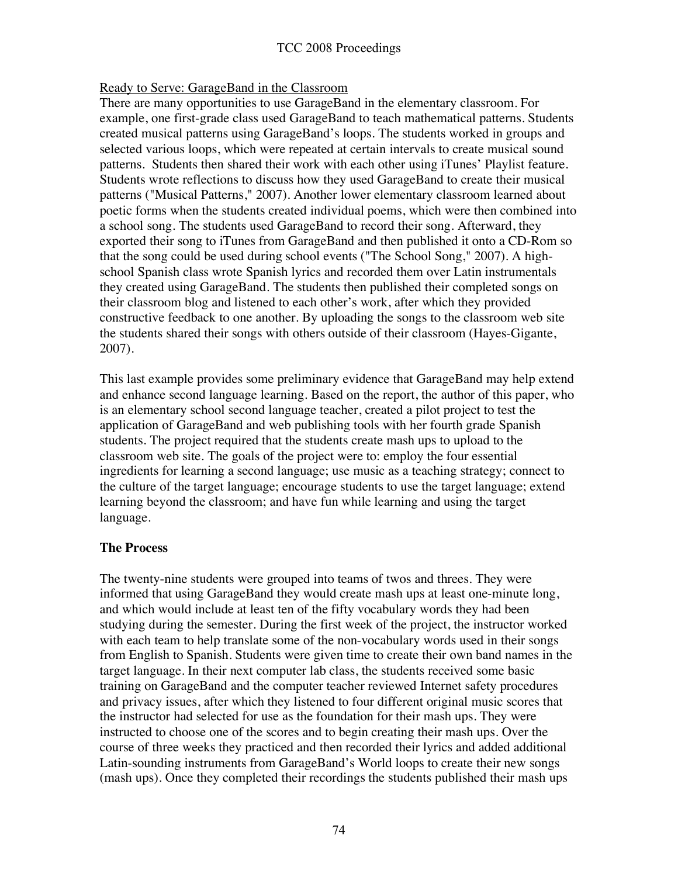## Ready to Serve: GarageBand in the Classroom

There are many opportunities to use GarageBand in the elementary classroom. For example, one first-grade class used GarageBand to teach mathematical patterns. Students created musical patterns using GarageBand's loops. The students worked in groups and selected various loops, which were repeated at certain intervals to create musical sound patterns. Students then shared their work with each other using iTunes' Playlist feature. Students wrote reflections to discuss how they used GarageBand to create their musical patterns ("Musical Patterns," 2007). Another lower elementary classroom learned about poetic forms when the students created individual poems, which were then combined into a school song. The students used GarageBand to record their song. Afterward, they exported their song to iTunes from GarageBand and then published it onto a CD-Rom so that the song could be used during school events ("The School Song," 2007). A highschool Spanish class wrote Spanish lyrics and recorded them over Latin instrumentals they created using GarageBand. The students then published their completed songs on their classroom blog and listened to each other's work, after which they provided constructive feedback to one another. By uploading the songs to the classroom web site the students shared their songs with others outside of their classroom (Hayes-Gigante, 2007).

This last example provides some preliminary evidence that GarageBand may help extend and enhance second language learning. Based on the report, the author of this paper, who is an elementary school second language teacher, created a pilot project to test the application of GarageBand and web publishing tools with her fourth grade Spanish students. The project required that the students create mash ups to upload to the classroom web site. The goals of the project were to: employ the four essential ingredients for learning a second language; use music as a teaching strategy; connect to the culture of the target language; encourage students to use the target language; extend learning beyond the classroom; and have fun while learning and using the target language.

## **The Process**

The twenty-nine students were grouped into teams of twos and threes. They were informed that using GarageBand they would create mash ups at least one-minute long, and which would include at least ten of the fifty vocabulary words they had been studying during the semester. During the first week of the project, the instructor worked with each team to help translate some of the non-vocabulary words used in their songs from English to Spanish. Students were given time to create their own band names in the target language. In their next computer lab class, the students received some basic training on GarageBand and the computer teacher reviewed Internet safety procedures and privacy issues, after which they listened to four different original music scores that the instructor had selected for use as the foundation for their mash ups. They were instructed to choose one of the scores and to begin creating their mash ups. Over the course of three weeks they practiced and then recorded their lyrics and added additional Latin-sounding instruments from GarageBand's World loops to create their new songs (mash ups). Once they completed their recordings the students published their mash ups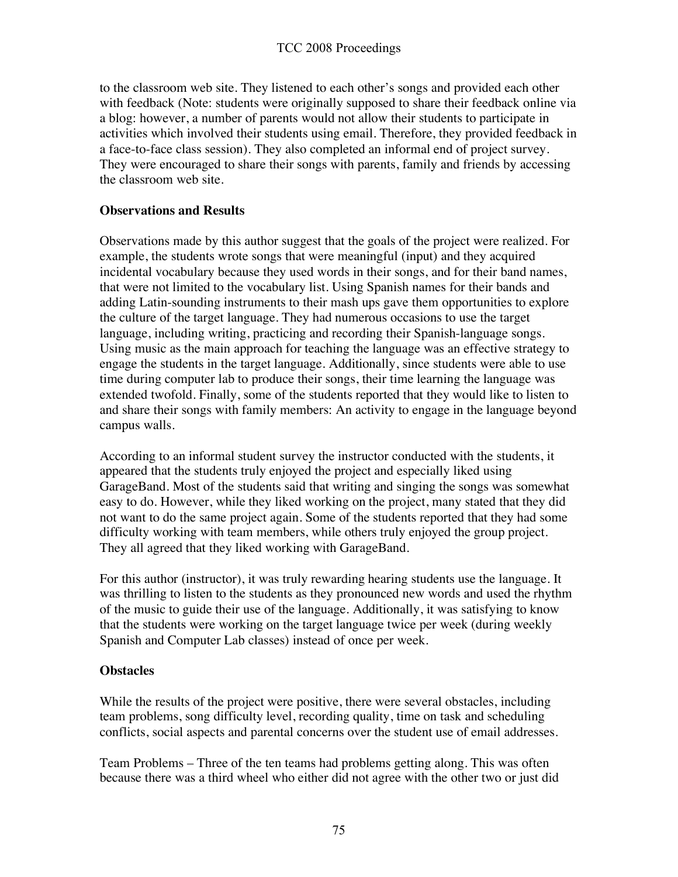to the classroom web site. They listened to each other's songs and provided each other with feedback (Note: students were originally supposed to share their feedback online via a blog: however, a number of parents would not allow their students to participate in activities which involved their students using email. Therefore, they provided feedback in a face-to-face class session). They also completed an informal end of project survey. They were encouraged to share their songs with parents, family and friends by accessing the classroom web site.

#### **Observations and Results**

Observations made by this author suggest that the goals of the project were realized. For example, the students wrote songs that were meaningful (input) and they acquired incidental vocabulary because they used words in their songs, and for their band names, that were not limited to the vocabulary list. Using Spanish names for their bands and adding Latin-sounding instruments to their mash ups gave them opportunities to explore the culture of the target language. They had numerous occasions to use the target language, including writing, practicing and recording their Spanish-language songs. Using music as the main approach for teaching the language was an effective strategy to engage the students in the target language. Additionally, since students were able to use time during computer lab to produce their songs, their time learning the language was extended twofold. Finally, some of the students reported that they would like to listen to and share their songs with family members: An activity to engage in the language beyond campus walls.

According to an informal student survey the instructor conducted with the students, it appeared that the students truly enjoyed the project and especially liked using GarageBand. Most of the students said that writing and singing the songs was somewhat easy to do. However, while they liked working on the project, many stated that they did not want to do the same project again. Some of the students reported that they had some difficulty working with team members, while others truly enjoyed the group project. They all agreed that they liked working with GarageBand.

For this author (instructor), it was truly rewarding hearing students use the language. It was thrilling to listen to the students as they pronounced new words and used the rhythm of the music to guide their use of the language. Additionally, it was satisfying to know that the students were working on the target language twice per week (during weekly Spanish and Computer Lab classes) instead of once per week.

#### **Obstacles**

While the results of the project were positive, there were several obstacles, including team problems, song difficulty level, recording quality, time on task and scheduling conflicts, social aspects and parental concerns over the student use of email addresses.

Team Problems – Three of the ten teams had problems getting along. This was often because there was a third wheel who either did not agree with the other two or just did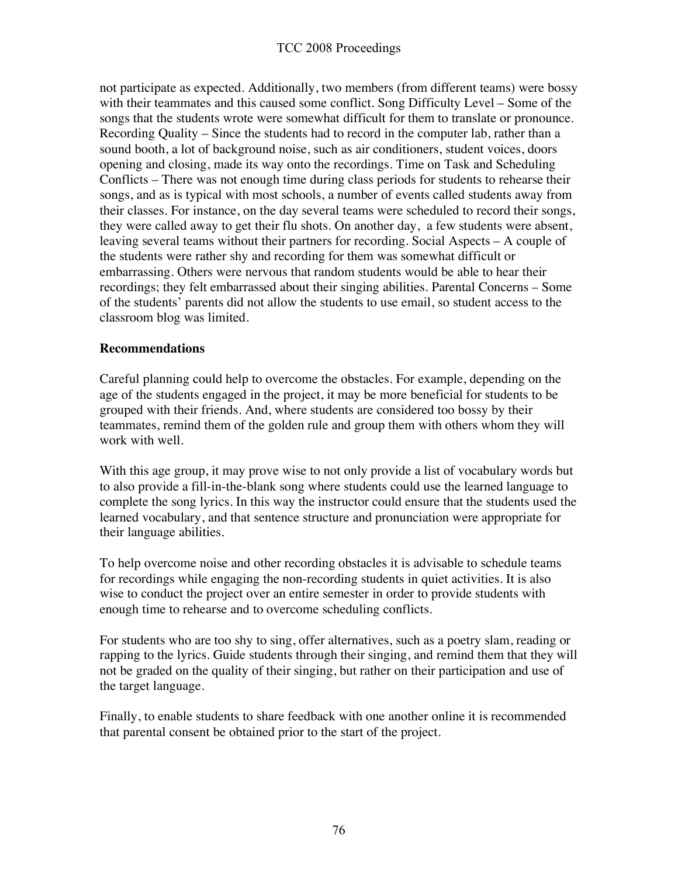not participate as expected. Additionally, two members (from different teams) were bossy with their teammates and this caused some conflict. Song Difficulty Level – Some of the songs that the students wrote were somewhat difficult for them to translate or pronounce. Recording Quality – Since the students had to record in the computer lab, rather than a sound booth, a lot of background noise, such as air conditioners, student voices, doors opening and closing, made its way onto the recordings. Time on Task and Scheduling Conflicts – There was not enough time during class periods for students to rehearse their songs, and as is typical with most schools, a number of events called students away from their classes. For instance, on the day several teams were scheduled to record their songs, they were called away to get their flu shots. On another day, a few students were absent, leaving several teams without their partners for recording. Social Aspects – A couple of the students were rather shy and recording for them was somewhat difficult or embarrassing. Others were nervous that random students would be able to hear their recordings; they felt embarrassed about their singing abilities. Parental Concerns – Some of the students' parents did not allow the students to use email, so student access to the classroom blog was limited.

#### **Recommendations**

Careful planning could help to overcome the obstacles. For example, depending on the age of the students engaged in the project, it may be more beneficial for students to be grouped with their friends. And, where students are considered too bossy by their teammates, remind them of the golden rule and group them with others whom they will work with well.

With this age group, it may prove wise to not only provide a list of vocabulary words but to also provide a fill-in-the-blank song where students could use the learned language to complete the song lyrics. In this way the instructor could ensure that the students used the learned vocabulary, and that sentence structure and pronunciation were appropriate for their language abilities.

To help overcome noise and other recording obstacles it is advisable to schedule teams for recordings while engaging the non-recording students in quiet activities. It is also wise to conduct the project over an entire semester in order to provide students with enough time to rehearse and to overcome scheduling conflicts.

For students who are too shy to sing, offer alternatives, such as a poetry slam, reading or rapping to the lyrics. Guide students through their singing, and remind them that they will not be graded on the quality of their singing, but rather on their participation and use of the target language.

Finally, to enable students to share feedback with one another online it is recommended that parental consent be obtained prior to the start of the project.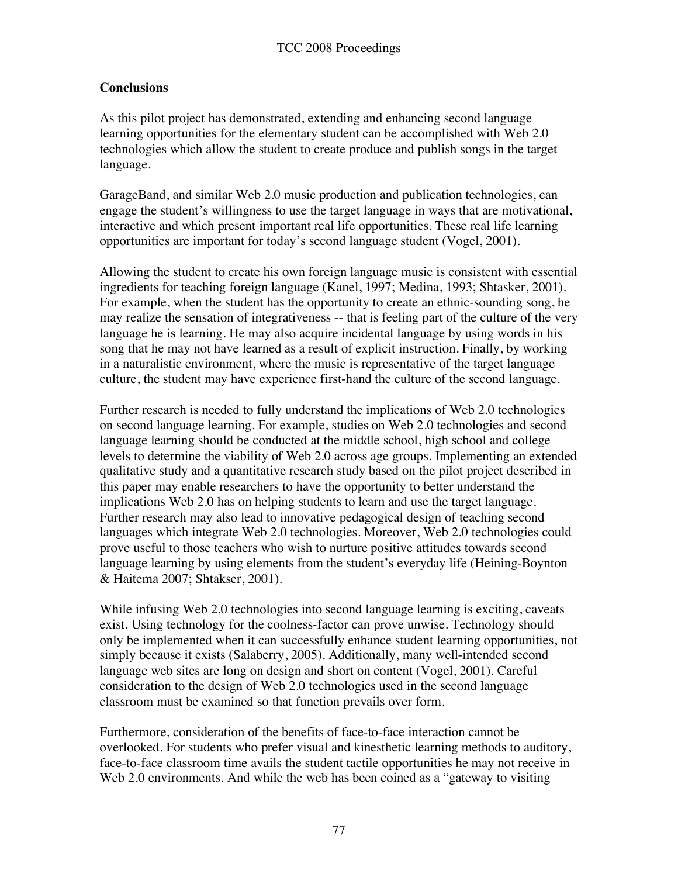## **Conclusions**

As this pilot project has demonstrated, extending and enhancing second language learning opportunities for the elementary student can be accomplished with Web 2.0 technologies which allow the student to create produce and publish songs in the target language.

GarageBand, and similar Web 2.0 music production and publication technologies, can engage the student's willingness to use the target language in ways that are motivational, interactive and which present important real life opportunities. These real life learning opportunities are important for today's second language student (Vogel, 2001).

Allowing the student to create his own foreign language music is consistent with essential ingredients for teaching foreign language (Kanel, 1997; Medina, 1993; Shtasker, 2001). For example, when the student has the opportunity to create an ethnic-sounding song, he may realize the sensation of integrativeness -- that is feeling part of the culture of the very language he is learning. He may also acquire incidental language by using words in his song that he may not have learned as a result of explicit instruction. Finally, by working in a naturalistic environment, where the music is representative of the target language culture, the student may have experience first-hand the culture of the second language.

Further research is needed to fully understand the implications of Web 2.0 technologies on second language learning. For example, studies on Web 2.0 technologies and second language learning should be conducted at the middle school, high school and college levels to determine the viability of Web 2.0 across age groups. Implementing an extended qualitative study and a quantitative research study based on the pilot project described in this paper may enable researchers to have the opportunity to better understand the implications Web 2.0 has on helping students to learn and use the target language. Further research may also lead to innovative pedagogical design of teaching second languages which integrate Web 2.0 technologies. Moreover, Web 2.0 technologies could prove useful to those teachers who wish to nurture positive attitudes towards second language learning by using elements from the student's everyday life (Heining-Boynton & Haitema 2007; Shtakser, 2001).

While infusing Web 2.0 technologies into second language learning is exciting, caveats exist. Using technology for the coolness-factor can prove unwise. Technology should only be implemented when it can successfully enhance student learning opportunities, not simply because it exists (Salaberry, 2005). Additionally, many well-intended second language web sites are long on design and short on content (Vogel, 2001). Careful consideration to the design of Web 2.0 technologies used in the second language classroom must be examined so that function prevails over form.

Furthermore, consideration of the benefits of face-to-face interaction cannot be overlooked. For students who prefer visual and kinesthetic learning methods to auditory, face-to-face classroom time avails the student tactile opportunities he may not receive in Web 2.0 environments. And while the web has been coined as a "gateway to visiting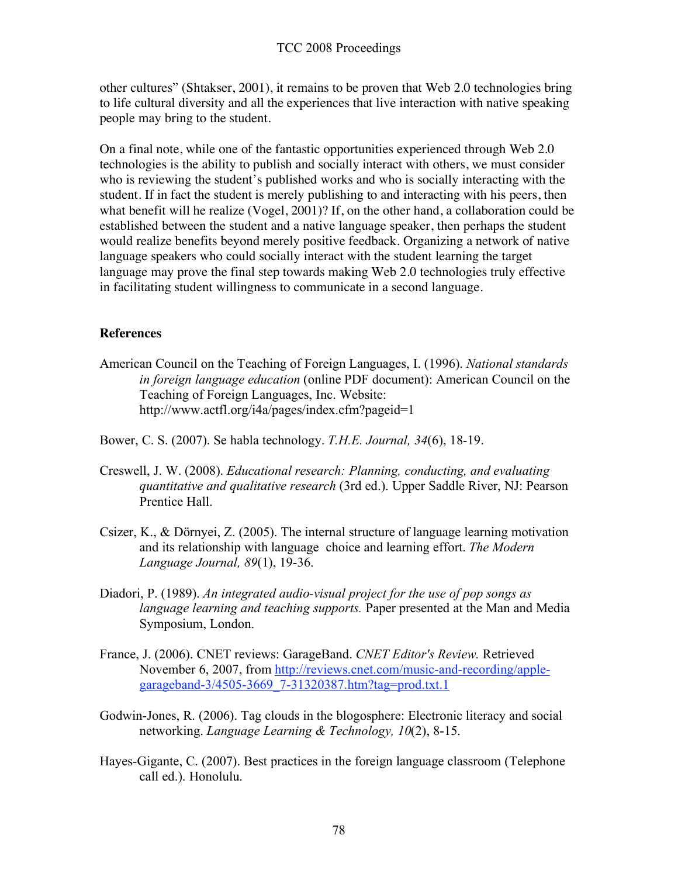other cultures" (Shtakser, 2001), it remains to be proven that Web 2.0 technologies bring to life cultural diversity and all the experiences that live interaction with native speaking people may bring to the student.

On a final note, while one of the fantastic opportunities experienced through Web 2.0 technologies is the ability to publish and socially interact with others, we must consider who is reviewing the student's published works and who is socially interacting with the student. If in fact the student is merely publishing to and interacting with his peers, then what benefit will he realize (Vogel, 2001)? If, on the other hand, a collaboration could be established between the student and a native language speaker, then perhaps the student would realize benefits beyond merely positive feedback. Organizing a network of native language speakers who could socially interact with the student learning the target language may prove the final step towards making Web 2.0 technologies truly effective in facilitating student willingness to communicate in a second language.

## **References**

- American Council on the Teaching of Foreign Languages, I. (1996). *National standards in foreign language education* (online PDF document): American Council on the Teaching of Foreign Languages, Inc. Website: http://www.actfl.org/i4a/pages/index.cfm?pageid=1
- Bower, C. S. (2007). Se habla technology. *T.H.E. Journal, 34*(6), 18-19.
- Creswell, J. W. (2008). *Educational research: Planning, conducting, and evaluating quantitative and qualitative research* (3rd ed.). Upper Saddle River, NJ: Pearson Prentice Hall.
- Csizer, K., & Dörnyei, Z. (2005). The internal structure of language learning motivation and its relationship with language choice and learning effort. *The Modern Language Journal, 89*(1), 19-36.
- Diadori, P. (1989). *An integrated audio-visual project for the use of pop songs as language learning and teaching supports.* Paper presented at the Man and Media Symposium, London.
- France, J. (2006). CNET reviews: GarageBand. *CNET Editor's Review.* Retrieved November 6, 2007, from http://reviews.cnet.com/music-and-recording/applegarageband-3/4505-3669\_7-31320387.htm?tag=prod.txt.1
- Godwin-Jones, R. (2006). Tag clouds in the blogosphere: Electronic literacy and social networking. *Language Learning & Technology, 10*(2), 8-15.
- Hayes-Gigante, C. (2007). Best practices in the foreign language classroom (Telephone call ed.). Honolulu.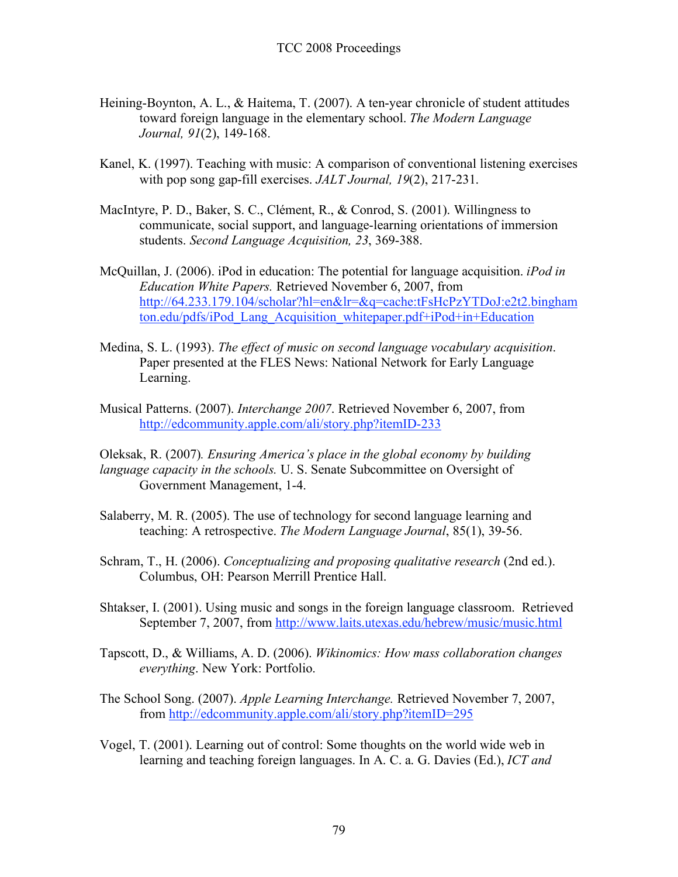- Heining-Boynton, A. L., & Haitema, T. (2007). A ten-year chronicle of student attitudes toward foreign language in the elementary school. *The Modern Language Journal, 91*(2), 149-168.
- Kanel, K. (1997). Teaching with music: A comparison of conventional listening exercises with pop song gap-fill exercises. *JALT Journal, 19*(2), 217-231.
- MacIntyre, P. D., Baker, S. C., Clément, R., & Conrod, S. (2001). Willingness to communicate, social support, and language-learning orientations of immersion students. *Second Language Acquisition, 23*, 369-388.
- McQuillan, J. (2006). iPod in education: The potential for language acquisition. *iPod in Education White Papers.* Retrieved November 6, 2007, from http://64.233.179.104/scholar?hl=en&lr=&q=cache:tFsHcPzYTDoJ:e2t2.bingham ton.edu/pdfs/iPod\_Lang\_Acquisition\_whitepaper.pdf+iPod+in+Education
- Medina, S. L. (1993). *The effect of music on second language vocabulary acquisition*. Paper presented at the FLES News: National Network for Early Language Learning.
- Musical Patterns. (2007). *Interchange 2007*. Retrieved November 6, 2007, from http://edcommunity.apple.com/ali/story.php?itemID-233
- Oleksak, R. (2007)*. Ensuring America's place in the global economy by building language capacity in the schools.* U. S. Senate Subcommittee on Oversight of Government Management, 1-4.
- Salaberry, M. R. (2005). The use of technology for second language learning and teaching: A retrospective. *The Modern Language Journal*, 85(1), 39-56.
- Schram, T., H. (2006). *Conceptualizing and proposing qualitative research* (2nd ed.). Columbus, OH: Pearson Merrill Prentice Hall.
- Shtakser, I. (2001). Using music and songs in the foreign language classroom. Retrieved September 7, 2007, from http://www.laits.utexas.edu/hebrew/music/music.html
- Tapscott, D., & Williams, A. D. (2006). *Wikinomics: How mass collaboration changes everything*. New York: Portfolio.
- The School Song. (2007). *Apple Learning Interchange.* Retrieved November 7, 2007, from http://edcommunity.apple.com/ali/story.php?itemID=295
- Vogel, T. (2001). Learning out of control: Some thoughts on the world wide web in learning and teaching foreign languages. In A. C. a. G. Davies (Ed.), *ICT and*